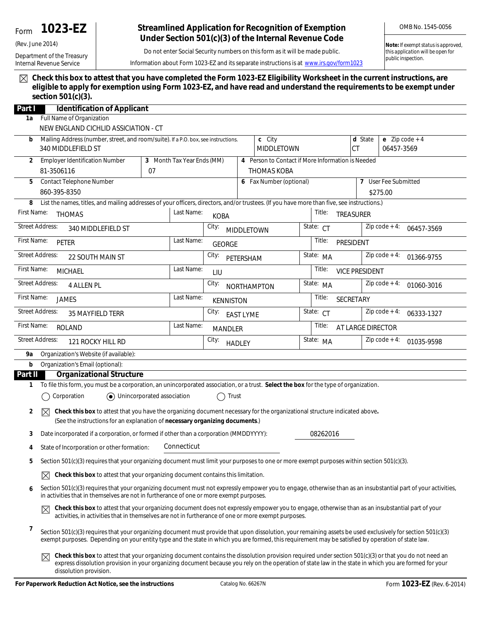# Form **1023-EZ**

Department of the Treasury Internal Revenue Service

(Rev. June 2014)

### **Streamlined Application for Recognition of Exemption Under Section 501(c)(3) of the Internal Revenue Code**

OMB No. 1545-0056

Do not enter Social Security numbers on this form as it will be made public.

**Note:** *If exempt status is approved, this application will be open for public inspection.*

Information about Form 1023-EZ and its separate instructions is at *www.irs.gov/form1023*

**Check this box to attest that you have completed the Form 1023-EZ Eligibility Worksheet in the current instructions, are eligible to apply for exemption using Form 1023-EZ, and have read and understand the requirements to be exempt under section 501(c)(3).**

| Part I                                                                                                                                                                                                               | <b>Identification of Applicant</b>                                                                                                                                                                                                                                                                                                        |  |                           |                                                                         |                             |                             |                      |                               |                                |                               |  |  |
|----------------------------------------------------------------------------------------------------------------------------------------------------------------------------------------------------------------------|-------------------------------------------------------------------------------------------------------------------------------------------------------------------------------------------------------------------------------------------------------------------------------------------------------------------------------------------|--|---------------------------|-------------------------------------------------------------------------|-----------------------------|-----------------------------|----------------------|-------------------------------|--------------------------------|-------------------------------|--|--|
| 1a                                                                                                                                                                                                                   | Full Name of Organization                                                                                                                                                                                                                                                                                                                 |  |                           |                                                                         |                             |                             |                      |                               |                                |                               |  |  |
|                                                                                                                                                                                                                      | NEW ENGLAND CICHLID ASSICIATION - CT                                                                                                                                                                                                                                                                                                      |  |                           |                                                                         |                             |                             |                      |                               |                                |                               |  |  |
| Mailing Address (number, street, and room/suite). If a P.O. box, see instructions.<br>b<br>340 MIDDLEFIELD ST                                                                                                        |                                                                                                                                                                                                                                                                                                                                           |  |                           |                                                                         | c City<br><b>MIDDLETOWN</b> |                             |                      | d State<br><b>CT</b>          | e $Zip code + 4$<br>06457-3569 |                               |  |  |
| 2                                                                                                                                                                                                                    | <b>Employer Identification Number</b><br>3 Month Tax Year Ends (MM)<br>81-3506116<br>07                                                                                                                                                                                                                                                   |  |                           | 4 Person to Contact if More Information is Needed<br><b>THOMAS KOBA</b> |                             |                             |                      |                               |                                |                               |  |  |
| Contact Telephone Number<br>5                                                                                                                                                                                        |                                                                                                                                                                                                                                                                                                                                           |  | 6 Fax Number (optional)   |                                                                         |                             |                             | 7 User Fee Submitted |                               |                                |                               |  |  |
| 860-395-8350                                                                                                                                                                                                         |                                                                                                                                                                                                                                                                                                                                           |  |                           |                                                                         |                             |                             |                      |                               |                                | \$275.00                      |  |  |
| 8                                                                                                                                                                                                                    | List the names, titles, and mailing addresses of your officers, directors, and/or trustees. (If you have more than five, see instructions.)                                                                                                                                                                                               |  |                           |                                                                         |                             |                             |                      |                               |                                |                               |  |  |
| First Name:<br>Last Name:<br><b>THOMAS</b>                                                                                                                                                                           |                                                                                                                                                                                                                                                                                                                                           |  |                           | Title:<br><b>KOBA</b>                                                   |                             |                             |                      | TREASURER                     |                                |                               |  |  |
| <b>Street Address:</b>                                                                                                                                                                                               | 340 MIDDLEFIELD ST                                                                                                                                                                                                                                                                                                                        |  |                           | City:                                                                   | <b>MIDDLETOWN</b>           |                             |                      | State: CT                     |                                | $Zip code + 4:$<br>06457-3569 |  |  |
| First Name:                                                                                                                                                                                                          | PETER                                                                                                                                                                                                                                                                                                                                     |  | Last Name:                | <b>GEORGE</b>                                                           |                             |                             |                      | Title:                        | PRESIDENT                      |                               |  |  |
| <b>Street Address:</b>                                                                                                                                                                                               | <b>22 SOUTH MAIN ST</b>                                                                                                                                                                                                                                                                                                                   |  |                           | City:                                                                   | PETERSHAM                   |                             |                      | State: MA                     |                                | Zip code $+4$ :<br>01366-9755 |  |  |
| First Name:<br><b>MICHAEL</b>                                                                                                                                                                                        |                                                                                                                                                                                                                                                                                                                                           |  | Last Name:                | LIU                                                                     |                             |                             |                      | Title:                        |                                | <b>VICE PRESIDENT</b>         |  |  |
| <b>Street Address:</b><br><b>4 ALLEN PL</b>                                                                                                                                                                          |                                                                                                                                                                                                                                                                                                                                           |  |                           | City:<br>NORTHAMPTON                                                    |                             |                             |                      | State: MA                     |                                | Zip code $+4$ :<br>01060-3016 |  |  |
| First Name:<br>Last Name:<br><b>JAMES</b>                                                                                                                                                                            |                                                                                                                                                                                                                                                                                                                                           |  | <b>KENNISTON</b>          |                                                                         |                             |                             | Title:               | <b>SECRETARY</b>              |                                |                               |  |  |
| <b>Street Address:</b><br><b>35 MAYFIELD TERR</b>                                                                                                                                                                    |                                                                                                                                                                                                                                                                                                                                           |  | City:<br><b>EAST LYME</b> |                                                                         | State: CT                   |                             |                      | $Zip code + 4:$<br>06333-1327 |                                |                               |  |  |
| First Name:<br>Last Name:<br><b>ROLAND</b>                                                                                                                                                                           |                                                                                                                                                                                                                                                                                                                                           |  | <b>MANDLER</b>            |                                                                         |                             | Title:<br>AT LARGE DIRECTOR |                      |                               |                                |                               |  |  |
| <b>Street Address:</b><br>121 ROCKY HILL RD                                                                                                                                                                          |                                                                                                                                                                                                                                                                                                                                           |  | City:<br><b>HADLEY</b>    |                                                                         |                             |                             | State: MA            |                               | $Zip code + 4:$<br>01035-9598  |                               |  |  |
| 9а                                                                                                                                                                                                                   | Organization's Website (if available):                                                                                                                                                                                                                                                                                                    |  |                           |                                                                         |                             |                             |                      |                               |                                |                               |  |  |
| b                                                                                                                                                                                                                    | Organization's Email (optional):                                                                                                                                                                                                                                                                                                          |  |                           |                                                                         |                             |                             |                      |                               |                                |                               |  |  |
| Part II                                                                                                                                                                                                              | <b>Organizational Structure</b>                                                                                                                                                                                                                                                                                                           |  |                           |                                                                         |                             |                             |                      |                               |                                |                               |  |  |
|                                                                                                                                                                                                                      | To file this form, you must be a corporation, an unincorporated association, or a trust. Select the box for the type of organization.<br>1.                                                                                                                                                                                               |  |                           |                                                                         |                             |                             |                      |                               |                                |                               |  |  |
|                                                                                                                                                                                                                      | Corporation<br>O Unincorporated association<br>Trust                                                                                                                                                                                                                                                                                      |  |                           |                                                                         |                             |                             |                      |                               |                                |                               |  |  |
| Check this box to attest that you have the organizing document necessary for the organizational structure indicated above.<br>2<br>⊠<br>(See the instructions for an explanation of necessary organizing documents.) |                                                                                                                                                                                                                                                                                                                                           |  |                           |                                                                         |                             |                             |                      |                               |                                |                               |  |  |
| 3                                                                                                                                                                                                                    | 08262016<br>Date incorporated if a corporation, or formed if other than a corporation (MMDDYYYY):                                                                                                                                                                                                                                         |  |                           |                                                                         |                             |                             |                      |                               |                                |                               |  |  |
| 4                                                                                                                                                                                                                    | Connecticut<br>State of Incorporation or other formation:                                                                                                                                                                                                                                                                                 |  |                           |                                                                         |                             |                             |                      |                               |                                |                               |  |  |
| 5                                                                                                                                                                                                                    | Section 501(c)(3) requires that your organizing document must limit your purposes to one or more exempt purposes within section 501(c)(3).                                                                                                                                                                                                |  |                           |                                                                         |                             |                             |                      |                               |                                |                               |  |  |
|                                                                                                                                                                                                                      | Check this box to attest that your organizing document contains this limitation.<br>$\boxtimes$                                                                                                                                                                                                                                           |  |                           |                                                                         |                             |                             |                      |                               |                                |                               |  |  |
| 6                                                                                                                                                                                                                    | Section 501(c)(3) requires that your organizing document must not expressly empower you to engage, otherwise than as an insubstantial part of your activities,<br>in activities that in themselves are not in furtherance of one or more exempt purposes.                                                                                 |  |                           |                                                                         |                             |                             |                      |                               |                                |                               |  |  |
|                                                                                                                                                                                                                      | Check this box to attest that your organizing document does not expressly empower you to engage, otherwise than as an insubstantial part of your<br>activities, in activities that in themselves are not in furtherance of one or more exempt purposes.                                                                                   |  |                           |                                                                         |                             |                             |                      |                               |                                |                               |  |  |
| 7                                                                                                                                                                                                                    | Section 501(c)(3) requires that your organizing document must provide that upon dissolution, your remaining assets be used exclusively for section 501(c)(3)<br>exempt purposes. Depending on your entity type and the state in which you are formed, this requirement may be satisfied by operation of state law.                        |  |                           |                                                                         |                             |                             |                      |                               |                                |                               |  |  |
|                                                                                                                                                                                                                      | Check this box to attest that your organizing document contains the dissolution provision required under section 501(c)(3) or that you do not need an<br>express dissolution provision in your organizing document because you rely on the operation of state law in the state in which you are formed for your<br>dissolution provision. |  |                           |                                                                         |                             |                             |                      |                               |                                |                               |  |  |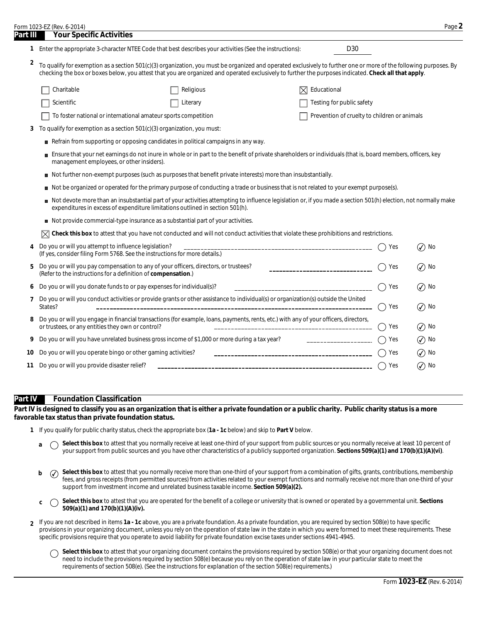|          | Form 1023-EZ (Rev. 6-2014)                                                                                                                                                                                                                                                                                                |                                                                                                                |                                   |              | Page 2                                         |  |  |  |
|----------|---------------------------------------------------------------------------------------------------------------------------------------------------------------------------------------------------------------------------------------------------------------------------------------------------------------------------|----------------------------------------------------------------------------------------------------------------|-----------------------------------|--------------|------------------------------------------------|--|--|--|
| Part III | <b>Your Specific Activities</b>                                                                                                                                                                                                                                                                                           |                                                                                                                |                                   |              |                                                |  |  |  |
|          | 1 Enter the appropriate 3-character NTEE Code that best describes your activities (See the instructions):                                                                                                                                                                                                                 |                                                                                                                | D <sub>30</sub>                   |              |                                                |  |  |  |
| 2        | To qualify for exemption as a section 501(c)(3) organization, you must be organized and operated exclusively to further one or more of the following purposes. By<br>checking the box or boxes below, you attest that you are organized and operated exclusively to further the purposes indicated. Check all that apply. |                                                                                                                |                                   |              |                                                |  |  |  |
|          | Charitable                                                                                                                                                                                                                                                                                                                | Religious                                                                                                      | $\boxtimes$ Educational           |              |                                                |  |  |  |
|          | Scientific                                                                                                                                                                                                                                                                                                                | Literary                                                                                                       | Testing for public safety         |              |                                                |  |  |  |
|          |                                                                                                                                                                                                                                                                                                                           | To foster national or international amateur sports competition<br>Prevention of cruelty to children or animals |                                   |              |                                                |  |  |  |
| 3        | To qualify for exemption as a section 501(c)(3) organization, you must:                                                                                                                                                                                                                                                   |                                                                                                                |                                   |              |                                                |  |  |  |
|          | Refrain from supporting or opposing candidates in political campaigns in any way.                                                                                                                                                                                                                                         |                                                                                                                |                                   |              |                                                |  |  |  |
|          | Ensure that your net earnings do not inure in whole or in part to the benefit of private shareholders or individuals (that is, board members, officers, key<br>management employees, or other insiders).                                                                                                                  |                                                                                                                |                                   |              |                                                |  |  |  |
|          | Not further non-exempt purposes (such as purposes that benefit private interests) more than insubstantially.                                                                                                                                                                                                              |                                                                                                                |                                   |              |                                                |  |  |  |
|          | Not be organized or operated for the primary purpose of conducting a trade or business that is not related to your exempt purpose(s).                                                                                                                                                                                     |                                                                                                                |                                   |              |                                                |  |  |  |
|          | Not devote more than an insubstantial part of your activities attempting to influence legislation or, if you made a section 501(h) election, not normally make<br>expenditures in excess of expenditure limitations outlined in section 501(h).                                                                           |                                                                                                                |                                   |              |                                                |  |  |  |
|          | Not provide commercial-type insurance as a substantial part of your activities.                                                                                                                                                                                                                                           |                                                                                                                |                                   |              |                                                |  |  |  |
|          | Check this box to attest that you have not conducted and will not conduct activities that violate these prohibitions and restrictions.                                                                                                                                                                                    |                                                                                                                |                                   |              |                                                |  |  |  |
| 4        | Do you or will you attempt to influence legislation?<br>(If yes, consider filing Form 5768. See the instructions for more details.)                                                                                                                                                                                       |                                                                                                                |                                   | Yes          | No<br>$\left( \boldsymbol{\checkmark} \right)$ |  |  |  |
| 5        | Do you or will you pay compensation to any of your officers, directors, or trustees?<br>(Refer to the instructions for a definition of compensation.)                                                                                                                                                                     |                                                                                                                | _________________________________ | Yes          | No<br>$\left( \boldsymbol{\checkmark} \right)$ |  |  |  |
| ь        | Do you or will you donate funds to or pay expenses for individual(s)?<br>Yes<br>$\mathcal{N}$ ) No                                                                                                                                                                                                                        |                                                                                                                |                                   |              |                                                |  |  |  |
| 7        | Do you or will you conduct activities or provide grants or other assistance to individual(s) or organization(s) outside the United<br>States?                                                                                                                                                                             |                                                                                                                |                                   | Yes<br>$($ ) | $\mathcal{L}$ ) No                             |  |  |  |
| 8        | Do you or will you engage in financial transactions (for example, loans, payments, rents, etc.) with any of your officers, directors,<br>or trustees, or any entities they own or control?                                                                                                                                |                                                                                                                |                                   | Yes          | $\left(\bigvee\right)$ No                      |  |  |  |
| 9        | Do you or will you have unrelated business gross income of \$1,000 or more during a tax year?                                                                                                                                                                                                                             |                                                                                                                | ______________________            | Yes          | $\left( \boldsymbol{\checkmark} \right)$<br>No |  |  |  |
| 10       | Do you or will you operate bingo or other gaming activities?                                                                                                                                                                                                                                                              |                                                                                                                |                                   | Yes          | No<br>$\left( \boldsymbol{\checkmark} \right)$ |  |  |  |
| 11       | Do you or will you provide disaster relief?                                                                                                                                                                                                                                                                               |                                                                                                                |                                   | Yes          | $\mathcal Q$ No                                |  |  |  |
|          |                                                                                                                                                                                                                                                                                                                           |                                                                                                                |                                   |              |                                                |  |  |  |

#### **Part IV Foundation Classification**

**Part IV is designed to classify you as an organization that is either a private foundation or a public charity. Public charity status is a more favorable tax status than private foundation status.**

- **1** If you qualify for public charity status, check the appropriate box (**1a 1c** below) and skip to **Part V** below.
	- **a**  $\bigcap$  **Select this box** to attest that you normally receive at least one-third of your support from public sources or you normally receive at least 10 percent of your support from public sources and you have other characteristics of a publicly supported organization. **Sections 509(a)(1) and 170(b)(1)(A)(vi)**.
	- **b**  $\widehat{\ }\,$  **Select this box** to attest that you normally receive more than one-third of your support from a combination of gifts, grants, contributions, membership fees, and gross receipts (from permitted sources) from activities related to your exempt functions and normally receive not more than one-third of your support from investment income and unrelated business taxable income. **Section 509(a)(2).**
	- **Select this box** to attest that you are operated for the benefit of a college or university that is owned or operated by a governmental unit. **Sections 509(a)(1)** and 170(b)(1)(A)(iv).
- If you are not described in items **1a 1c** above, you are a private foundation. As a private foundation, you are required by section 508(e) to have specific **2** provisions in your organizing document, unless you rely on the operation of state law in the state in which you were formed to meet these requirements. These specific provisions require that you operate to avoid liability for private foundation excise taxes under sections 4941-4945.
	- Select this box to attest that your organizing document contains the provisions required by section 508(e) or that your organizing document does not  $\bigcirc$ need to include the provisions required by section 508(e) because you rely on the operation of state law in your particular state to meet the requirements of section 508(e). (See the instructions for explanation of the section 508(e) requirements.)